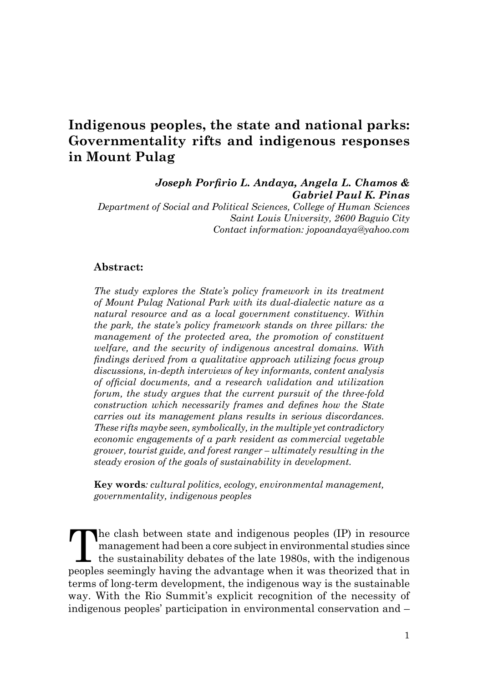# **Indigenous peoples, the state and national parks: Governmentality rifts and indigenous responses in Mount Pulag**

*Joseph Porfirio L. Andaya, Angela L. Chamos & Gabriel Paul K. Pinas Department of Social and Political Sciences, College of Human Sciences* 

*Saint Louis University, 2600 Baguio City Contact information: jopoandaya@yahoo.com*

#### **Abstract:**

*The study explores the State's policy framework in its treatment of Mount Pulag National Park with its dual-dialectic nature as a natural resource and as a local government constituency. Within the park, the state's policy framework stands on three pillars: the management of the protected area, the promotion of constituent welfare, and the security of indigenous ancestral domains. With findings derived from a qualitative approach utilizing focus group discussions, in-depth interviews of key informants, content analysis of official documents, and a research validation and utilization forum, the study argues that the current pursuit of the three-fold construction which necessarily frames and defines how the State carries out its management plans results in serious discordances. These rifts maybe seen, symbolically, in the multiple yet contradictory economic engagements of a park resident as commercial vegetable grower, tourist guide, and forest ranger – ultimately resulting in the steady erosion of the goals of sustainability in development.*

**Key words***: cultural politics, ecology, environmental management, governmentality, indigenous peoples*

The clash between state and indigenous peoples (IP) in resource<br>management had been a core subject in environmental studies since<br>the sustainability debates of the late 1980s, with the indigenous<br>peoples seemingly beying t management had been a core subject in environmental studies since the sustainability debates of the late 1980s, with the indigenous peoples seemingly having the advantage when it was theorized that in terms of long-term development, the indigenous way is the sustainable way. With the Rio Summit's explicit recognition of the necessity of indigenous peoples' participation in environmental conservation and –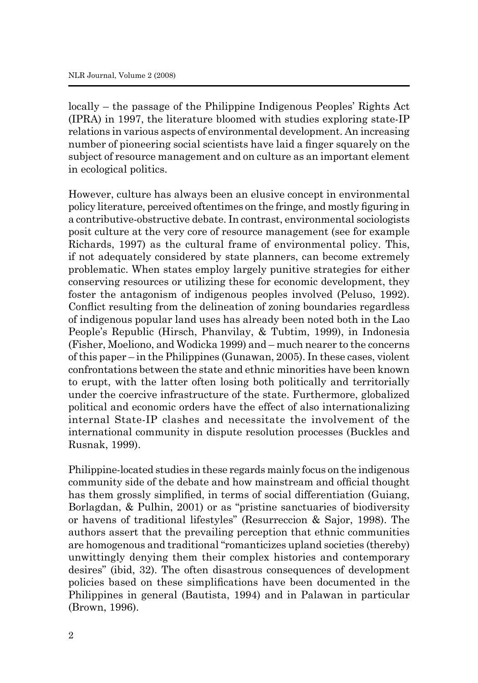locally – the passage of the Philippine Indigenous Peoples' Rights Act (IPRA) in 1997, the literature bloomed with studies exploring state-IP relations in various aspects of environmental development. An increasing number of pioneering social scientists have laid a finger squarely on the subject of resource management and on culture as an important element in ecological politics.

However, culture has always been an elusive concept in environmental policy literature, perceived oftentimes on the fringe, and mostly figuring in a contributive-obstructive debate. In contrast, environmental sociologists posit culture at the very core of resource management (see for example Richards, 1997) as the cultural frame of environmental policy. This, if not adequately considered by state planners, can become extremely problematic. When states employ largely punitive strategies for either conserving resources or utilizing these for economic development, they foster the antagonism of indigenous peoples involved (Peluso, 1992). Conflict resulting from the delineation of zoning boundaries regardless of indigenous popular land uses has already been noted both in the Lao People's Republic (Hirsch, Phanvilay, & Tubtim, 1999), in Indonesia (Fisher, Moeliono, and Wodicka 1999) and – much nearer to the concerns of this paper – in the Philippines (Gunawan, 2005). In these cases, violent confrontations between the state and ethnic minorities have been known to erupt, with the latter often losing both politically and territorially under the coercive infrastructure of the state. Furthermore, globalized political and economic orders have the effect of also internationalizing internal State-IP clashes and necessitate the involvement of the international community in dispute resolution processes (Buckles and Rusnak, 1999).

Philippine-located studies in these regards mainly focus on the indigenous community side of the debate and how mainstream and official thought has them grossly simplified, in terms of social differentiation (Guiang, Borlagdan, & Pulhin, 2001) or as "pristine sanctuaries of biodiversity or havens of traditional lifestyles" (Resurreccion & Sajor, 1998). The authors assert that the prevailing perception that ethnic communities are homogenous and traditional "romanticizes upland societies (thereby) unwittingly denying them their complex histories and contemporary desires" (ibid, 32). The often disastrous consequences of development policies based on these simplifications have been documented in the Philippines in general (Bautista, 1994) and in Palawan in particular (Brown, 1996).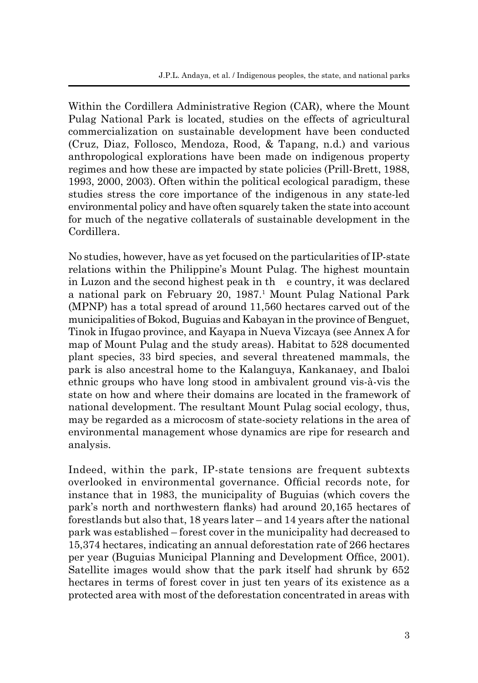Within the Cordillera Administrative Region (CAR), where the Mount Pulag National Park is located, studies on the effects of agricultural commercialization on sustainable development have been conducted (Cruz, Diaz, Follosco, Mendoza, Rood, & Tapang, n.d.) and various anthropological explorations have been made on indigenous property regimes and how these are impacted by state policies (Prill-Brett, 1988, 1993, 2000, 2003). Often within the political ecological paradigm, these studies stress the core importance of the indigenous in any state-led environmental policy and have often squarely taken the state into account for much of the negative collaterals of sustainable development in the Cordillera.

No studies, however, have as yet focused on the particularities of IP-state relations within the Philippine's Mount Pulag. The highest mountain in Luzon and the second highest peak in th e country, it was declared a national park on February 20, 1987.<sup>1</sup> Mount Pulag National Park (MPNP) has a total spread of around 11,560 hectares carved out of the municipalities of Bokod, Buguias and Kabayan in the province of Benguet, Tinok in Ifugao province, and Kayapa in Nueva Vizcaya (see Annex A for map of Mount Pulag and the study areas). Habitat to 528 documented plant species, 33 bird species, and several threatened mammals, the park is also ancestral home to the Kalanguya, Kankanaey, and Ibaloi ethnic groups who have long stood in ambivalent ground vis-à-vis the state on how and where their domains are located in the framework of national development. The resultant Mount Pulag social ecology, thus, may be regarded as a microcosm of state-society relations in the area of environmental management whose dynamics are ripe for research and analysis.

Indeed, within the park, IP-state tensions are frequent subtexts overlooked in environmental governance. Official records note, for instance that in 1983, the municipality of Buguias (which covers the park's north and northwestern flanks) had around 20,165 hectares of forestlands but also that, 18 years later – and 14 years after the national park was established – forest cover in the municipality had decreased to 15,374 hectares, indicating an annual deforestation rate of 266 hectares per year (Buguias Municipal Planning and Development Office, 2001). Satellite images would show that the park itself had shrunk by 652 hectares in terms of forest cover in just ten years of its existence as a protected area with most of the deforestation concentrated in areas with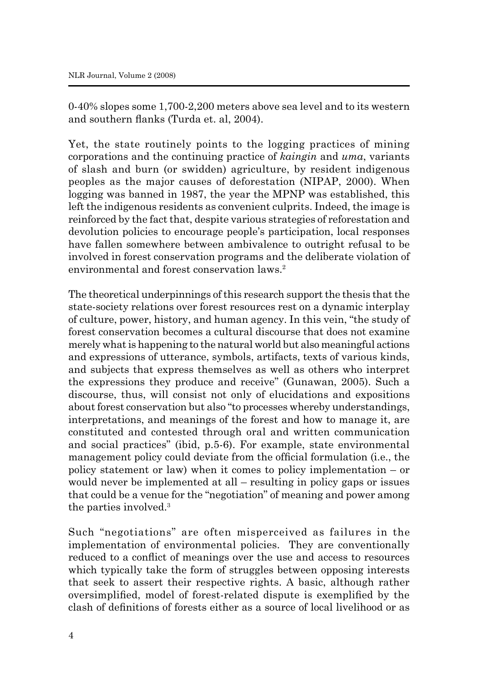0-40% slopes some 1,700-2,200 meters above sea level and to its western and southern flanks (Turda et. al, 2004).

Yet, the state routinely points to the logging practices of mining corporations and the continuing practice of *kaingin* and *uma*, variants of slash and burn (or swidden) agriculture, by resident indigenous peoples as the major causes of deforestation (NIPAP, 2000). When logging was banned in 1987, the year the MPNP was established, this left the indigenous residents as convenient culprits. Indeed, the image is reinforced by the fact that, despite various strategies of reforestation and devolution policies to encourage people's participation, local responses have fallen somewhere between ambivalence to outright refusal to be involved in forest conservation programs and the deliberate violation of environmental and forest conservation laws.<sup>2</sup>

The theoretical underpinnings of this research support the thesis that the state-society relations over forest resources rest on a dynamic interplay of culture, power, history, and human agency. In this vein, "the study of forest conservation becomes a cultural discourse that does not examine merely what is happening to the natural world but also meaningful actions and expressions of utterance, symbols, artifacts, texts of various kinds, and subjects that express themselves as well as others who interpret the expressions they produce and receive" (Gunawan, 2005). Such a discourse, thus, will consist not only of elucidations and expositions about forest conservation but also "to processes whereby understandings, interpretations, and meanings of the forest and how to manage it, are constituted and contested through oral and written communication and social practices" (ibid, p.5-6). For example, state environmental management policy could deviate from the official formulation (i.e., the policy statement or law) when it comes to policy implementation – or would never be implemented at all – resulting in policy gaps or issues that could be a venue for the "negotiation" of meaning and power among the parties involved.3

Such "negotiations" are often misperceived as failures in the implementation of environmental policies. They are conventionally reduced to a conflict of meanings over the use and access to resources which typically take the form of struggles between opposing interests that seek to assert their respective rights. A basic, although rather oversimplified, model of forest-related dispute is exemplified by the clash of definitions of forests either as a source of local livelihood or as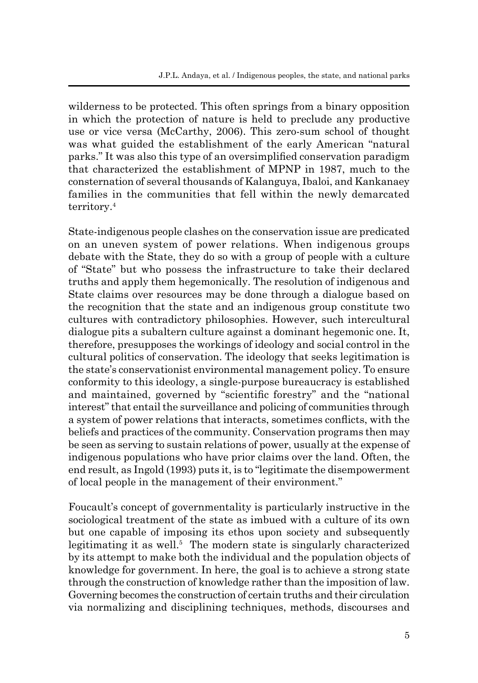wilderness to be protected. This often springs from a binary opposition in which the protection of nature is held to preclude any productive use or vice versa (McCarthy, 2006). This zero-sum school of thought was what guided the establishment of the early American "natural parks." It was also this type of an oversimplified conservation paradigm that characterized the establishment of MPNP in 1987, much to the consternation of several thousands of Kalanguya, Ibaloi, and Kankanaey families in the communities that fell within the newly demarcated territory.4

State-indigenous people clashes on the conservation issue are predicated on an uneven system of power relations. When indigenous groups debate with the State, they do so with a group of people with a culture of "State" but who possess the infrastructure to take their declared truths and apply them hegemonically. The resolution of indigenous and State claims over resources may be done through a dialogue based on the recognition that the state and an indigenous group constitute two cultures with contradictory philosophies. However, such intercultural dialogue pits a subaltern culture against a dominant hegemonic one. It, therefore, presupposes the workings of ideology and social control in the cultural politics of conservation. The ideology that seeks legitimation is the state's conservationist environmental management policy. To ensure conformity to this ideology, a single-purpose bureaucracy is established and maintained, governed by "scientific forestry" and the "national interest" that entail the surveillance and policing of communities through a system of power relations that interacts, sometimes conflicts, with the beliefs and practices of the community. Conservation programs then may be seen as serving to sustain relations of power, usually at the expense of indigenous populations who have prior claims over the land. Often, the end result, as Ingold (1993) puts it, is to "legitimate the disempowerment of local people in the management of their environment."

Foucault's concept of governmentality is particularly instructive in the sociological treatment of the state as imbued with a culture of its own but one capable of imposing its ethos upon society and subsequently legitimating it as well.<sup>5</sup> The modern state is singularly characterized by its attempt to make both the individual and the population objects of knowledge for government. In here, the goal is to achieve a strong state through the construction of knowledge rather than the imposition of law. Governing becomes the construction of certain truths and their circulation via normalizing and disciplining techniques, methods, discourses and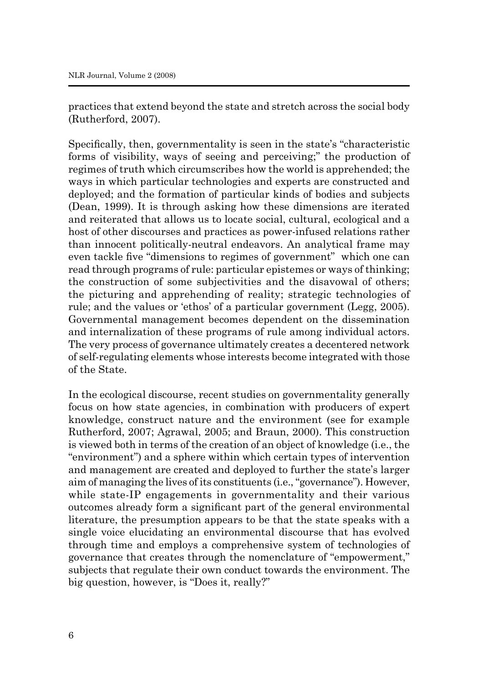practices that extend beyond the state and stretch across the social body (Rutherford, 2007).

Specifically, then, governmentality is seen in the state's "characteristic forms of visibility, ways of seeing and perceiving;" the production of regimes of truth which circumscribes how the world is apprehended; the ways in which particular technologies and experts are constructed and deployed; and the formation of particular kinds of bodies and subjects (Dean, 1999). It is through asking how these dimensions are iterated and reiterated that allows us to locate social, cultural, ecological and a host of other discourses and practices as power-infused relations rather than innocent politically-neutral endeavors. An analytical frame may even tackle five "dimensions to regimes of government" which one can read through programs of rule: particular epistemes or ways of thinking; the construction of some subjectivities and the disavowal of others; the picturing and apprehending of reality; strategic technologies of rule; and the values or 'ethos' of a particular government (Legg, 2005). Governmental management becomes dependent on the dissemination and internalization of these programs of rule among individual actors. The very process of governance ultimately creates a decentered network of self-regulating elements whose interests become integrated with those of the State.

In the ecological discourse, recent studies on governmentality generally focus on how state agencies, in combination with producers of expert knowledge, construct nature and the environment (see for example Rutherford, 2007; Agrawal, 2005; and Braun, 2000). This construction is viewed both in terms of the creation of an object of knowledge (i.e., the "environment") and a sphere within which certain types of intervention and management are created and deployed to further the state's larger aim of managing the lives of its constituents (i.e., "governance"). However, while state-IP engagements in governmentality and their various outcomes already form a significant part of the general environmental literature, the presumption appears to be that the state speaks with a single voice elucidating an environmental discourse that has evolved through time and employs a comprehensive system of technologies of governance that creates through the nomenclature of "empowerment," subjects that regulate their own conduct towards the environment. The big question, however, is "Does it, really?"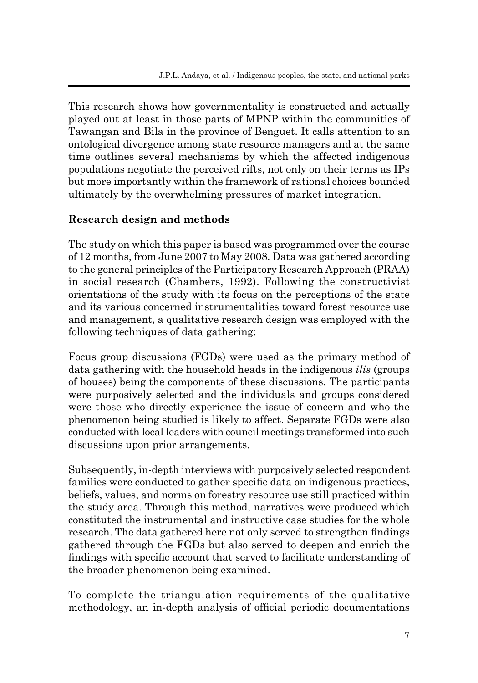This research shows how governmentality is constructed and actually played out at least in those parts of MPNP within the communities of Tawangan and Bila in the province of Benguet. It calls attention to an ontological divergence among state resource managers and at the same time outlines several mechanisms by which the affected indigenous populations negotiate the perceived rifts, not only on their terms as IPs but more importantly within the framework of rational choices bounded ultimately by the overwhelming pressures of market integration.

## **Research design and methods**

The study on which this paper is based was programmed over the course of 12 months, from June 2007 to May 2008. Data was gathered according to the general principles of the Participatory Research Approach (PRAA) in social research (Chambers, 1992). Following the constructivist orientations of the study with its focus on the perceptions of the state and its various concerned instrumentalities toward forest resource use and management, a qualitative research design was employed with the following techniques of data gathering:

Focus group discussions (FGDs) were used as the primary method of data gathering with the household heads in the indigenous *ilis* (groups of houses) being the components of these discussions. The participants were purposively selected and the individuals and groups considered were those who directly experience the issue of concern and who the phenomenon being studied is likely to affect. Separate FGDs were also conducted with local leaders with council meetings transformed into such discussions upon prior arrangements.

Subsequently, in-depth interviews with purposively selected respondent families were conducted to gather specific data on indigenous practices, beliefs, values, and norms on forestry resource use still practiced within the study area. Through this method, narratives were produced which constituted the instrumental and instructive case studies for the whole research. The data gathered here not only served to strengthen findings gathered through the FGDs but also served to deepen and enrich the findings with specific account that served to facilitate understanding of the broader phenomenon being examined.

To complete the triangulation requirements of the qualitative methodology, an in-depth analysis of official periodic documentations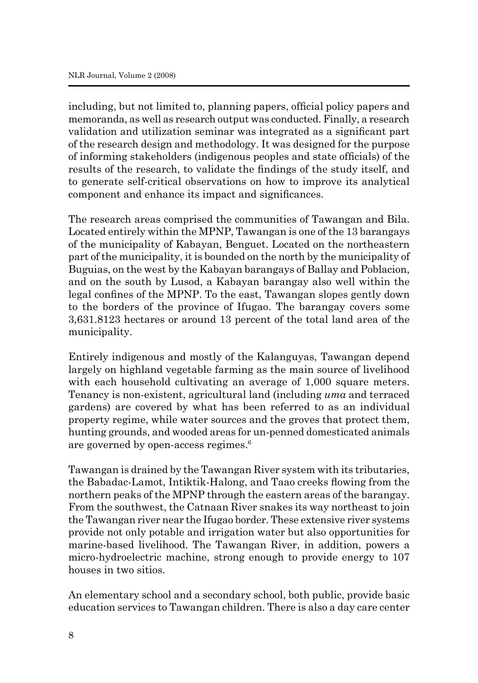including, but not limited to, planning papers, official policy papers and memoranda, as well as research output was conducted. Finally, a research validation and utilization seminar was integrated as a significant part of the research design and methodology. It was designed for the purpose of informing stakeholders (indigenous peoples and state officials) of the results of the research, to validate the findings of the study itself, and to generate self-critical observations on how to improve its analytical component and enhance its impact and significances.

The research areas comprised the communities of Tawangan and Bila. Located entirely within the MPNP, Tawangan is one of the 13 barangays of the municipality of Kabayan, Benguet. Located on the northeastern part of the municipality, it is bounded on the north by the municipality of Buguias, on the west by the Kabayan barangays of Ballay and Poblacion, and on the south by Lusod, a Kabayan barangay also well within the legal confines of the MPNP. To the east, Tawangan slopes gently down to the borders of the province of Ifugao. The barangay covers some 3,631.8123 hectares or around 13 percent of the total land area of the municipality.

Entirely indigenous and mostly of the Kalanguyas, Tawangan depend largely on highland vegetable farming as the main source of livelihood with each household cultivating an average of 1,000 square meters. Tenancy is non-existent, agricultural land (including *uma* and terraced gardens) are covered by what has been referred to as an individual property regime, while water sources and the groves that protect them, hunting grounds, and wooded areas for un-penned domesticated animals are governed by open-access regimes.6

Tawangan is drained by the Tawangan River system with its tributaries, the Babadac-Lamot, Intiktik-Halong, and Taao creeks flowing from the northern peaks of the MPNP through the eastern areas of the barangay. From the southwest, the Catnaan River snakes its way northeast to join the Tawangan river near the Ifugao border. These extensive river systems provide not only potable and irrigation water but also opportunities for marine-based livelihood. The Tawangan River, in addition, powers a micro-hydroelectric machine, strong enough to provide energy to 107 houses in two sitios.

An elementary school and a secondary school, both public, provide basic education services to Tawangan children. There is also a day care center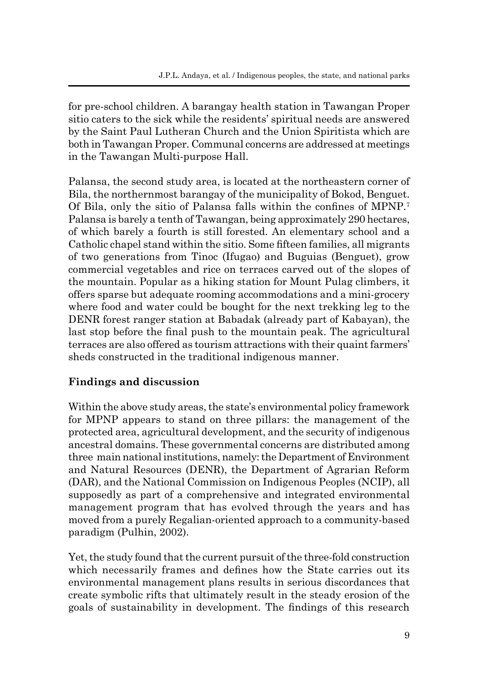for pre-school children. A barangay health station in Tawangan Proper sitio caters to the sick while the residents' spiritual needs are answered by the Saint Paul Lutheran Church and the Union Spiritista which are both in Tawangan Proper. Communal concerns are addressed at meetings in the Tawangan Multi-purpose Hall.

Palansa, the second study area, is located at the northeastern corner of Bila, the northernmost barangay of the municipality of Bokod, Benguet. Of Bila, only the sitio of Palansa falls within the confines of MPNP.<sup>7</sup> Palansa is barely a tenth of Tawangan, being approximately 290 hectares, of which barely a fourth is still forested. An elementary school and a Catholic chapel stand within the sitio. Some fifteen families, all migrants of two generations from Tinoc (Ifugao) and Buguias (Benguet), grow commercial vegetables and rice on terraces carved out of the slopes of the mountain. Popular as a hiking station for Mount Pulag climbers, it offers sparse but adequate rooming accommodations and a mini-grocery where food and water could be bought for the next trekking leg to the DENR forest ranger station at Babadak (already part of Kabayan), the last stop before the final push to the mountain peak. The agricultural terraces are also offered as tourism attractions with their quaint farmers' sheds constructed in the traditional indigenous manner.

## **Findings and discussion**

Within the above study areas, the state's environmental policy framework for MPNP appears to stand on three pillars: the management of the protected area, agricultural development, and the security of indigenous ancestral domains. These governmental concerns are distributed among three main national institutions, namely: the Department of Environment and Natural Resources (DENR), the Department of Agrarian Reform (DAR), and the National Commission on Indigenous Peoples (NCIP), all supposedly as part of a comprehensive and integrated environmental management program that has evolved through the years and has moved from a purely Regalian-oriented approach to a community-based paradigm (Pulhin, 2002).

Yet, the study found that the current pursuit of the three-fold construction which necessarily frames and defines how the State carries out its environmental management plans results in serious discordances that create symbolic rifts that ultimately result in the steady erosion of the goals of sustainability in development. The findings of this research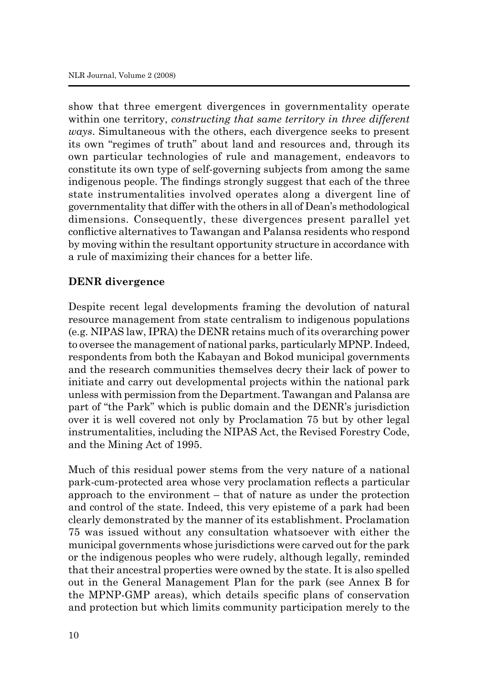show that three emergent divergences in governmentality operate within one territory, *constructing that same territory in three different ways*. Simultaneous with the others, each divergence seeks to present its own "regimes of truth" about land and resources and, through its own particular technologies of rule and management, endeavors to constitute its own type of self-governing subjects from among the same indigenous people. The findings strongly suggest that each of the three state instrumentalities involved operates along a divergent line of governmentality that differ with the others in all of Dean's methodological dimensions. Consequently, these divergences present parallel yet conflictive alternatives to Tawangan and Palansa residents who respond by moving within the resultant opportunity structure in accordance with a rule of maximizing their chances for a better life.

#### **DENR divergence**

Despite recent legal developments framing the devolution of natural resource management from state centralism to indigenous populations (e.g. NIPAS law, IPRA) the DENR retains much of its overarching power to oversee the management of national parks, particularly MPNP. Indeed, respondents from both the Kabayan and Bokod municipal governments and the research communities themselves decry their lack of power to initiate and carry out developmental projects within the national park unless with permission from the Department. Tawangan and Palansa are part of "the Park" which is public domain and the DENR's jurisdiction over it is well covered not only by Proclamation 75 but by other legal instrumentalities, including the NIPAS Act, the Revised Forestry Code, and the Mining Act of 1995.

Much of this residual power stems from the very nature of a national park-cum-protected area whose very proclamation reflects a particular approach to the environment – that of nature as under the protection and control of the state. Indeed, this very episteme of a park had been clearly demonstrated by the manner of its establishment. Proclamation 75 was issued without any consultation whatsoever with either the municipal governments whose jurisdictions were carved out for the park or the indigenous peoples who were rudely, although legally, reminded that their ancestral properties were owned by the state. It is also spelled out in the General Management Plan for the park (see Annex B for the MPNP-GMP areas), which details specific plans of conservation and protection but which limits community participation merely to the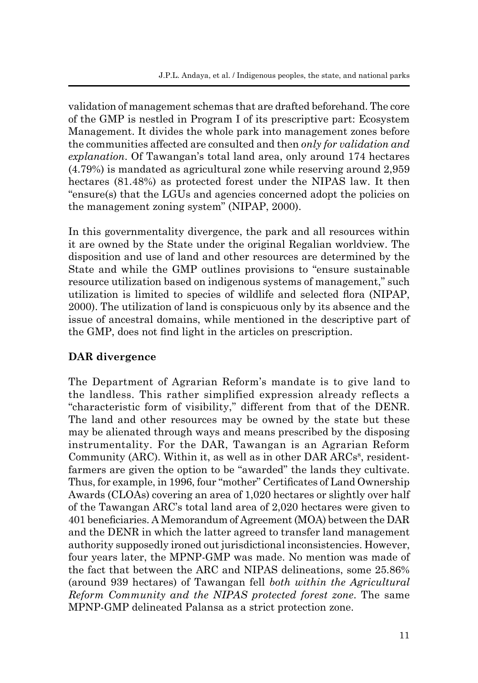validation of management schemas that are drafted beforehand. The core of the GMP is nestled in Program I of its prescriptive part: Ecosystem Management. It divides the whole park into management zones before the communities affected are consulted and then *only for validation and explanation*. Of Tawangan's total land area, only around 174 hectares (4.79%) is mandated as agricultural zone while reserving around 2,959 hectares (81.48%) as protected forest under the NIPAS law. It then "ensure(s) that the LGUs and agencies concerned adopt the policies on the management zoning system" (NIPAP, 2000).

In this governmentality divergence, the park and all resources within it are owned by the State under the original Regalian worldview. The disposition and use of land and other resources are determined by the State and while the GMP outlines provisions to "ensure sustainable resource utilization based on indigenous systems of management," such utilization is limited to species of wildlife and selected flora (NIPAP, 2000). The utilization of land is conspicuous only by its absence and the issue of ancestral domains, while mentioned in the descriptive part of the GMP, does not find light in the articles on prescription.

## **DAR divergence**

The Department of Agrarian Reform's mandate is to give land to the landless. This rather simplified expression already reflects a "characteristic form of visibility," different from that of the DENR. The land and other resources may be owned by the state but these may be alienated through ways and means prescribed by the disposing instrumentality. For the DAR, Tawangan is an Agrarian Reform Community (ARC). Within it, as well as in other DAR ARCs<sup>8</sup>, residentfarmers are given the option to be "awarded" the lands they cultivate. Thus, for example, in 1996, four "mother" Certificates of Land Ownership Awards (CLOAs) covering an area of 1,020 hectares or slightly over half of the Tawangan ARC's total land area of 2,020 hectares were given to 401 beneficiaries. A Memorandum of Agreement (MOA) between the DAR and the DENR in which the latter agreed to transfer land management authority supposedly ironed out jurisdictional inconsistencies. However, four years later, the MPNP-GMP was made. No mention was made of the fact that between the ARC and NIPAS delineations, some 25.86% (around 939 hectares) of Tawangan fell *both within the Agricultural Reform Community and the NIPAS protected forest zone*. The same MPNP-GMP delineated Palansa as a strict protection zone.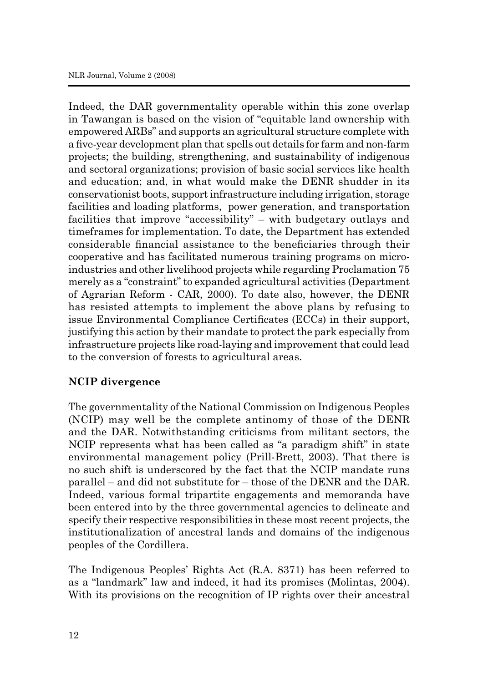Indeed, the DAR governmentality operable within this zone overlap in Tawangan is based on the vision of "equitable land ownership with empowered ARBs" and supports an agricultural structure complete with a five-year development plan that spells out details for farm and non-farm projects; the building, strengthening, and sustainability of indigenous and sectoral organizations; provision of basic social services like health and education; and, in what would make the DENR shudder in its conservationist boots, support infrastructure including irrigation, storage facilities and loading platforms, power generation, and transportation facilities that improve "accessibility" – with budgetary outlays and timeframes for implementation. To date, the Department has extended considerable financial assistance to the beneficiaries through their cooperative and has facilitated numerous training programs on microindustries and other livelihood projects while regarding Proclamation 75 merely as a "constraint" to expanded agricultural activities (Department of Agrarian Reform - CAR, 2000). To date also, however, the DENR has resisted attempts to implement the above plans by refusing to issue Environmental Compliance Certificates (ECCs) in their support, justifying this action by their mandate to protect the park especially from infrastructure projects like road-laying and improvement that could lead to the conversion of forests to agricultural areas.

## **NCIP divergence**

The governmentality of the National Commission on Indigenous Peoples (NCIP) may well be the complete antinomy of those of the DENR and the DAR. Notwithstanding criticisms from militant sectors, the NCIP represents what has been called as "a paradigm shift" in state environmental management policy (Prill-Brett, 2003). That there is no such shift is underscored by the fact that the NCIP mandate runs parallel – and did not substitute for – those of the DENR and the DAR. Indeed, various formal tripartite engagements and memoranda have been entered into by the three governmental agencies to delineate and specify their respective responsibilities in these most recent projects, the institutionalization of ancestral lands and domains of the indigenous peoples of the Cordillera.

The Indigenous Peoples' Rights Act (R.A. 8371) has been referred to as a "landmark" law and indeed, it had its promises (Molintas, 2004). With its provisions on the recognition of IP rights over their ancestral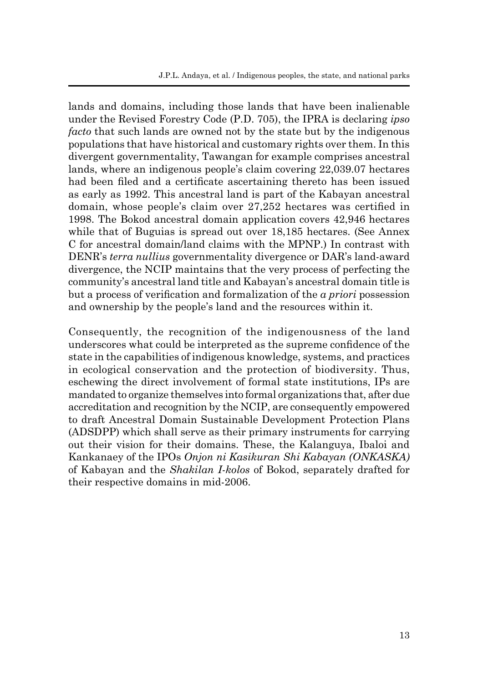lands and domains, including those lands that have been inalienable under the Revised Forestry Code (P.D. 705), the IPRA is declaring *ipso facto* that such lands are owned not by the state but by the indigenous populations that have historical and customary rights over them. In this divergent governmentality, Tawangan for example comprises ancestral lands, where an indigenous people's claim covering 22,039.07 hectares had been filed and a certificate ascertaining thereto has been issued as early as 1992. This ancestral land is part of the Kabayan ancestral domain, whose people's claim over 27,252 hectares was certified in 1998. The Bokod ancestral domain application covers 42,946 hectares while that of Buguias is spread out over 18,185 hectares. (See Annex C for ancestral domain/land claims with the MPNP.) In contrast with DENR's *terra nullius* governmentality divergence or DAR's land-award divergence, the NCIP maintains that the very process of perfecting the community's ancestral land title and Kabayan's ancestral domain title is but a process of verification and formalization of the *a priori* possession and ownership by the people's land and the resources within it.

Consequently, the recognition of the indigenousness of the land underscores what could be interpreted as the supreme confidence of the state in the capabilities of indigenous knowledge, systems, and practices in ecological conservation and the protection of biodiversity. Thus, eschewing the direct involvement of formal state institutions, IPs are mandated to organize themselves into formal organizations that, after due accreditation and recognition by the NCIP, are consequently empowered to draft Ancestral Domain Sustainable Development Protection Plans (ADSDPP) which shall serve as their primary instruments for carrying out their vision for their domains. These, the Kalanguya, Ibaloi and Kankanaey of the IPOs *Onjon ni Kasikuran Shi Kabayan (ONKASKA)* of Kabayan and the *Shakilan I-kolos* of Bokod, separately drafted for their respective domains in mid-2006.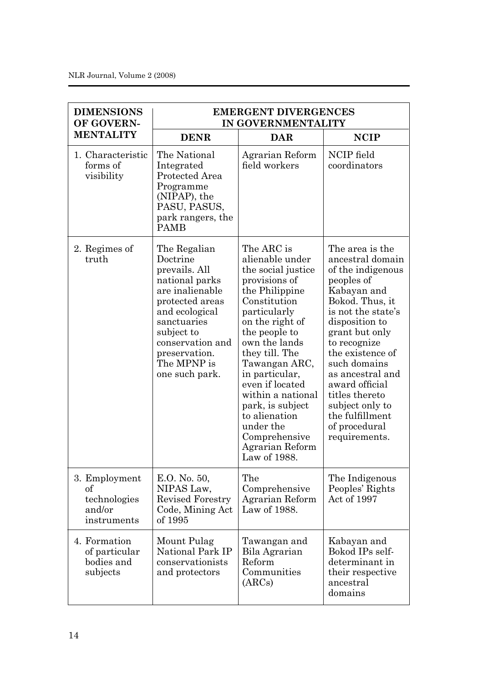| <b>DIMENSIONS</b><br>OF GOVERN-<br><b>MENTALITY</b>          | <b>EMERGENT DIVERGENCES</b><br>IN GOVERNMENTALITY                                                                                                                                                                      |                                                                                                                                                                                                                                                                                                                                                                                |                                                                                                                                                                                                                                                                                                                                                        |
|--------------------------------------------------------------|------------------------------------------------------------------------------------------------------------------------------------------------------------------------------------------------------------------------|--------------------------------------------------------------------------------------------------------------------------------------------------------------------------------------------------------------------------------------------------------------------------------------------------------------------------------------------------------------------------------|--------------------------------------------------------------------------------------------------------------------------------------------------------------------------------------------------------------------------------------------------------------------------------------------------------------------------------------------------------|
|                                                              | <b>DENR</b>                                                                                                                                                                                                            | <b>DAR</b>                                                                                                                                                                                                                                                                                                                                                                     | <b>NCIP</b>                                                                                                                                                                                                                                                                                                                                            |
| 1. Characteristic<br>forms of<br>visibility                  | The National<br>Integrated<br>Protected Area<br>Programme<br>(NIPAP), the<br>PASU, PASUS,<br>park rangers, the<br><b>PAMB</b>                                                                                          | Agrarian Reform<br>field workers                                                                                                                                                                                                                                                                                                                                               | NCIP field<br>coordinators                                                                                                                                                                                                                                                                                                                             |
| 2. Regimes of<br>truth                                       | The Regalian<br>Doctrine<br>prevails. All<br>national parks<br>are inalienable<br>protected areas<br>and ecological<br>sanctuaries<br>subject to<br>conservation and<br>preservation.<br>The MPNP is<br>one such park. | The ARC is<br>alienable under<br>the social justice<br>provisions of<br>the Philippine<br>Constitution<br>particularly<br>on the right of<br>the people to<br>own the lands<br>they till. The<br>Tawangan ARC,<br>in particular,<br>even if located<br>within a national<br>park, is subject<br>to alienation<br>under the<br>Comprehensive<br>Agrarian Reform<br>Law of 1988. | The area is the<br>ancestral domain<br>of the indigenous<br>peoples of<br>Kabayan and<br>Bokod. Thus, it<br>is not the state's<br>disposition to<br>grant but only<br>to recognize<br>the existence of<br>such domains<br>as ancestral and<br>award official<br>titles thereto<br>subject only to<br>the fulfillment<br>of procedural<br>requirements. |
| 3. Employment<br>оf<br>technologies<br>and/or<br>instruments | E.O. No. 50,<br>NIPAS Law,<br>Revised Forestry<br>Code, Mining Act<br>of 1995                                                                                                                                          | The<br>Comprehensive<br>Agrarian Reform<br>Law of 1988.                                                                                                                                                                                                                                                                                                                        | The Indigenous<br>Peoples' Rights<br>Act of 1997                                                                                                                                                                                                                                                                                                       |
| 4. Formation<br>of particular<br>bodies and<br>subjects      | Mount Pulag<br>National Park IP<br>conservationists<br>and protectors                                                                                                                                                  | Tawangan and<br>Bila Agrarian<br>Reform<br>Communities<br>(ARCs)                                                                                                                                                                                                                                                                                                               | Kabayan and<br>Bokod IPs self-<br>determinant in<br>their respective<br>ancestral<br>domains                                                                                                                                                                                                                                                           |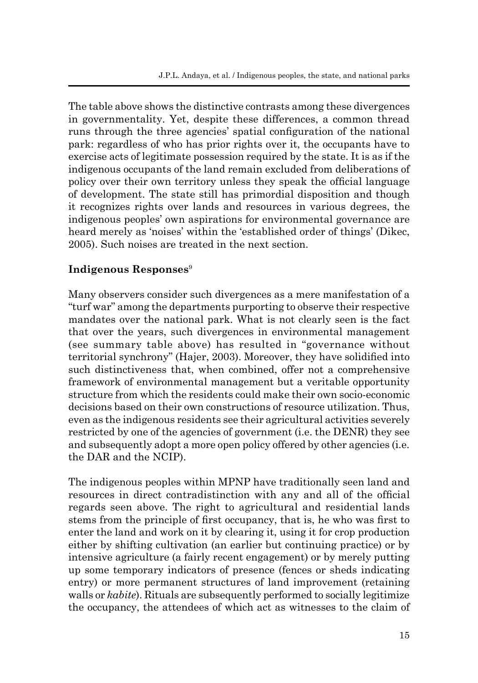The table above shows the distinctive contrasts among these divergences in governmentality. Yet, despite these differences, a common thread runs through the three agencies' spatial configuration of the national park: regardless of who has prior rights over it, the occupants have to exercise acts of legitimate possession required by the state. It is as if the indigenous occupants of the land remain excluded from deliberations of policy over their own territory unless they speak the official language of development. The state still has primordial disposition and though it recognizes rights over lands and resources in various degrees, the indigenous peoples' own aspirations for environmental governance are heard merely as 'noises' within the 'established order of things' (Dikec, 2005). Such noises are treated in the next section.

#### **Indigenous Responses**<sup>9</sup>

Many observers consider such divergences as a mere manifestation of a "turf war" among the departments purporting to observe their respective mandates over the national park. What is not clearly seen is the fact that over the years, such divergences in environmental management (see summary table above) has resulted in "governance without territorial synchrony" (Hajer, 2003). Moreover, they have solidified into such distinctiveness that, when combined, offer not a comprehensive framework of environmental management but a veritable opportunity structure from which the residents could make their own socio-economic decisions based on their own constructions of resource utilization. Thus, even as the indigenous residents see their agricultural activities severely restricted by one of the agencies of government (i.e. the DENR) they see and subsequently adopt a more open policy offered by other agencies (i.e. the DAR and the NCIP).

The indigenous peoples within MPNP have traditionally seen land and resources in direct contradistinction with any and all of the official regards seen above. The right to agricultural and residential lands stems from the principle of first occupancy, that is, he who was first to enter the land and work on it by clearing it, using it for crop production either by shifting cultivation (an earlier but continuing practice) or by intensive agriculture (a fairly recent engagement) or by merely putting up some temporary indicators of presence (fences or sheds indicating entry) or more permanent structures of land improvement (retaining walls or *kabite*). Rituals are subsequently performed to socially legitimize the occupancy, the attendees of which act as witnesses to the claim of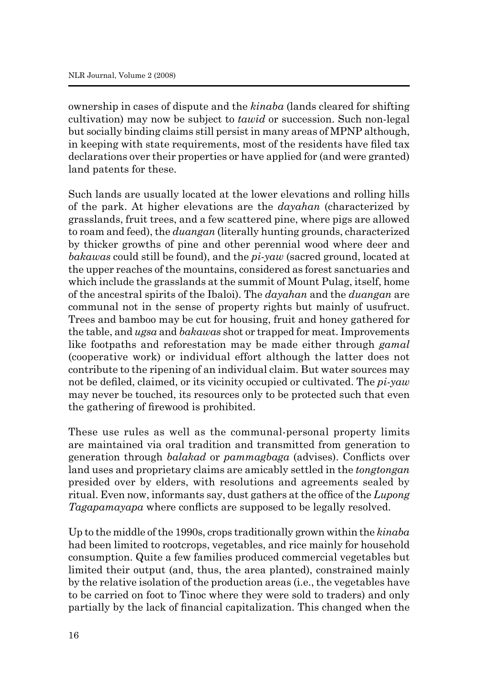ownership in cases of dispute and the *kinaba* (lands cleared for shifting cultivation) may now be subject to *tawid* or succession. Such non-legal but socially binding claims still persist in many areas of MPNP although, in keeping with state requirements, most of the residents have filed tax declarations over their properties or have applied for (and were granted) land patents for these.

Such lands are usually located at the lower elevations and rolling hills of the park. At higher elevations are the *dayahan* (characterized by grasslands, fruit trees, and a few scattered pine, where pigs are allowed to roam and feed), the *duangan* (literally hunting grounds, characterized by thicker growths of pine and other perennial wood where deer and *bakawas* could still be found), and the *pi-yaw* (sacred ground, located at the upper reaches of the mountains, considered as forest sanctuaries and which include the grasslands at the summit of Mount Pulag, itself, home of the ancestral spirits of the Ibaloi). The *dayahan* and the *duangan* are communal not in the sense of property rights but mainly of usufruct. Trees and bamboo may be cut for housing, fruit and honey gathered for the table, and *ugsa* and *bakawas* shot or trapped for meat. Improvements like footpaths and reforestation may be made either through *gamal*  (cooperative work) or individual effort although the latter does not contribute to the ripening of an individual claim. But water sources may not be defiled, claimed, or its vicinity occupied or cultivated. The *pi-yaw* may never be touched, its resources only to be protected such that even the gathering of firewood is prohibited.

These use rules as well as the communal-personal property limits are maintained via oral tradition and transmitted from generation to generation through *balakad* or *pammagbaga* (advises). Conflicts over land uses and proprietary claims are amicably settled in the *tongtongan*  presided over by elders, with resolutions and agreements sealed by ritual. Even now, informants say, dust gathers at the office of the *Lupong Tagapamayapa* where conflicts are supposed to be legally resolved.

Up to the middle of the 1990s, crops traditionally grown within the *kinaba*  had been limited to rootcrops, vegetables, and rice mainly for household consumption. Quite a few families produced commercial vegetables but limited their output (and, thus, the area planted), constrained mainly by the relative isolation of the production areas (i.e., the vegetables have to be carried on foot to Tinoc where they were sold to traders) and only partially by the lack of financial capitalization. This changed when the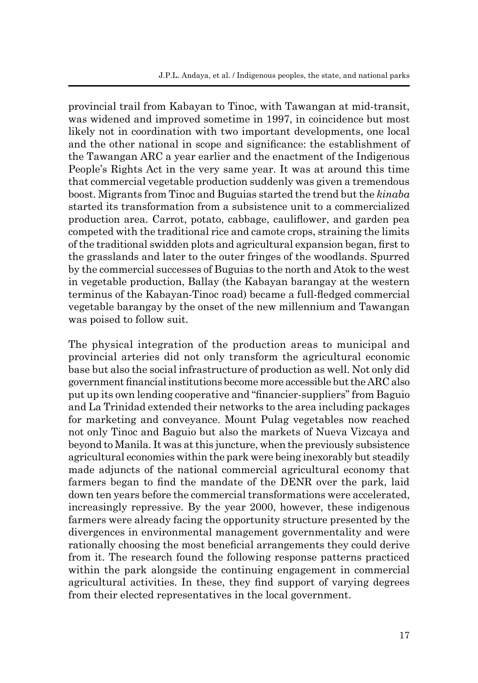provincial trail from Kabayan to Tinoc, with Tawangan at mid-transit, was widened and improved sometime in 1997, in coincidence but most likely not in coordination with two important developments, one local and the other national in scope and significance: the establishment of the Tawangan ARC a year earlier and the enactment of the Indigenous People's Rights Act in the very same year. It was at around this time that commercial vegetable production suddenly was given a tremendous boost. Migrants from Tinoc and Buguias started the trend but the *kinaba*  started its transformation from a subsistence unit to a commercialized production area. Carrot, potato, cabbage, cauliflower, and garden pea competed with the traditional rice and camote crops, straining the limits of the traditional swidden plots and agricultural expansion began, first to the grasslands and later to the outer fringes of the woodlands. Spurred by the commercial successes of Buguias to the north and Atok to the west in vegetable production, Ballay (the Kabayan barangay at the western terminus of the Kabayan-Tinoc road) became a full-fledged commercial vegetable barangay by the onset of the new millennium and Tawangan was poised to follow suit.

The physical integration of the production areas to municipal and provincial arteries did not only transform the agricultural economic base but also the social infrastructure of production as well. Not only did government financial institutions become more accessible but the ARC also put up its own lending cooperative and "financier-suppliers" from Baguio and La Trinidad extended their networks to the area including packages for marketing and conveyance. Mount Pulag vegetables now reached not only Tinoc and Baguio but also the markets of Nueva Vizcaya and beyond to Manila. It was at this juncture, when the previously subsistence agricultural economies within the park were being inexorably but steadily made adjuncts of the national commercial agricultural economy that farmers began to find the mandate of the DENR over the park, laid down ten years before the commercial transformations were accelerated, increasingly repressive. By the year 2000, however, these indigenous farmers were already facing the opportunity structure presented by the divergences in environmental management governmentality and were rationally choosing the most beneficial arrangements they could derive from it. The research found the following response patterns practiced within the park alongside the continuing engagement in commercial agricultural activities. In these, they find support of varying degrees from their elected representatives in the local government.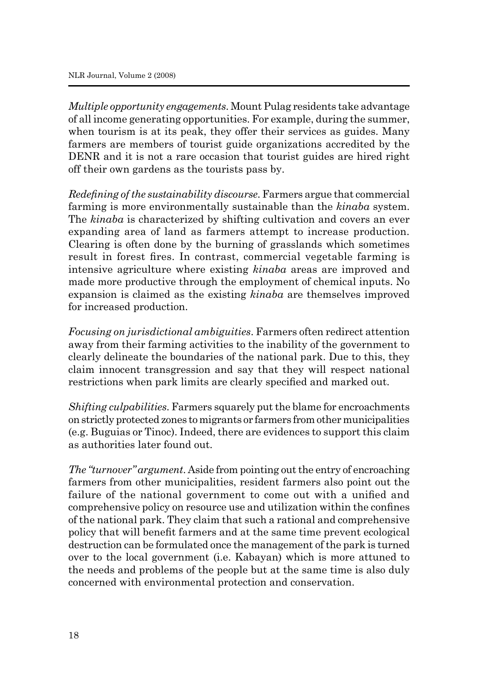*Multiple opportunity engagements*. Mount Pulag residents take advantage of all income generating opportunities. For example, during the summer, when tourism is at its peak, they offer their services as guides. Many farmers are members of tourist guide organizations accredited by the DENR and it is not a rare occasion that tourist guides are hired right off their own gardens as the tourists pass by.

*Redefining of the sustainability discourse*. Farmers argue that commercial farming is more environmentally sustainable than the *kinaba* system. The *kinaba* is characterized by shifting cultivation and covers an ever expanding area of land as farmers attempt to increase production. Clearing is often done by the burning of grasslands which sometimes result in forest fires. In contrast, commercial vegetable farming is intensive agriculture where existing *kinaba* areas are improved and made more productive through the employment of chemical inputs. No expansion is claimed as the existing *kinaba* are themselves improved for increased production.

*Focusing on jurisdictional ambiguities*. Farmers often redirect attention away from their farming activities to the inability of the government to clearly delineate the boundaries of the national park. Due to this, they claim innocent transgression and say that they will respect national restrictions when park limits are clearly specified and marked out.

*Shifting culpabilities*. Farmers squarely put the blame for encroachments on strictly protected zones to migrants or farmers from other municipalities (e.g. Buguias or Tinoc). Indeed, there are evidences to support this claim as authorities later found out.

*The "turnover" argument*. Aside from pointing out the entry of encroaching farmers from other municipalities, resident farmers also point out the failure of the national government to come out with a unified and comprehensive policy on resource use and utilization within the confines of the national park. They claim that such a rational and comprehensive policy that will benefit farmers and at the same time prevent ecological destruction can be formulated once the management of the park is turned over to the local government (i.e. Kabayan) which is more attuned to the needs and problems of the people but at the same time is also duly concerned with environmental protection and conservation.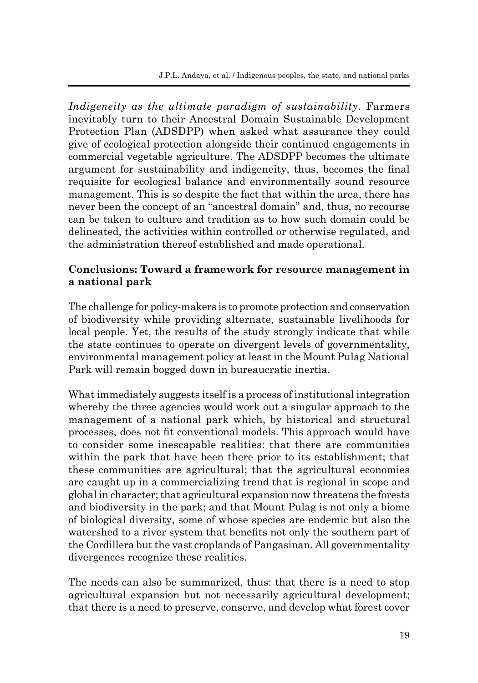*Indigeneity as the ultimate paradigm of sustainability*. Farmers inevitably turn to their Ancestral Domain Sustainable Development Protection Plan (ADSDPP) when asked what assurance they could give of ecological protection alongside their continued engagements in commercial vegetable agriculture. The ADSDPP becomes the ultimate argument for sustainability and indigeneity, thus, becomes the final requisite for ecological balance and environmentally sound resource management. This is so despite the fact that within the area, there has never been the concept of an "ancestral domain" and, thus, no recourse can be taken to culture and tradition as to how such domain could be delineated, the activities within controlled or otherwise regulated, and the administration thereof established and made operational.

#### **Conclusions: Toward a framework for resource management in a national park**

The challenge for policy-makers is to promote protection and conservation of biodiversity while providing alternate, sustainable livelihoods for local people. Yet, the results of the study strongly indicate that while the state continues to operate on divergent levels of governmentality, environmental management policy at least in the Mount Pulag National Park will remain bogged down in bureaucratic inertia.

What immediately suggests itself is a process of institutional integration whereby the three agencies would work out a singular approach to the management of a national park which, by historical and structural processes, does not fit conventional models. This approach would have to consider some inescapable realities: that there are communities within the park that have been there prior to its establishment; that these communities are agricultural; that the agricultural economies are caught up in a commercializing trend that is regional in scope and global in character; that agricultural expansion now threatens the forests and biodiversity in the park; and that Mount Pulag is not only a biome of biological diversity, some of whose species are endemic but also the watershed to a river system that benefits not only the southern part of the Cordillera but the vast croplands of Pangasinan. All governmentality divergences recognize these realities.

The needs can also be summarized, thus: that there is a need to stop agricultural expansion but not necessarily agricultural development; that there is a need to preserve, conserve, and develop what forest cover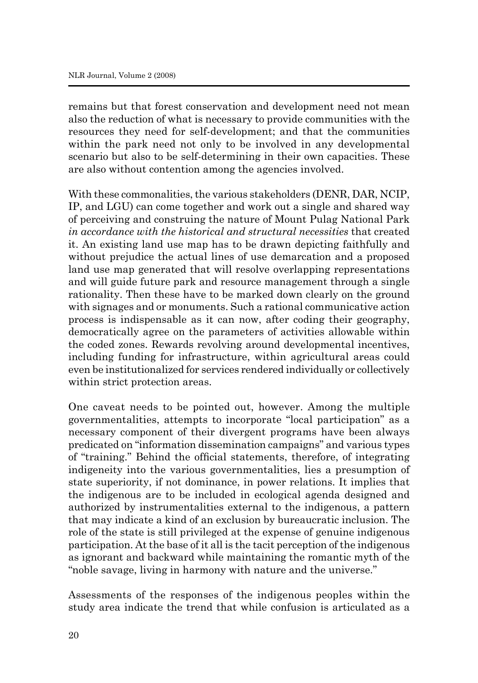remains but that forest conservation and development need not mean also the reduction of what is necessary to provide communities with the resources they need for self-development; and that the communities within the park need not only to be involved in any developmental scenario but also to be self-determining in their own capacities. These are also without contention among the agencies involved.

With these commonalities, the various stakeholders (DENR, DAR, NCIP, IP, and LGU) can come together and work out a single and shared way of perceiving and construing the nature of Mount Pulag National Park *in accordance with the historical and structural necessities* that created it. An existing land use map has to be drawn depicting faithfully and without prejudice the actual lines of use demarcation and a proposed land use map generated that will resolve overlapping representations and will guide future park and resource management through a single rationality. Then these have to be marked down clearly on the ground with signages and or monuments. Such a rational communicative action process is indispensable as it can now, after coding their geography, democratically agree on the parameters of activities allowable within the coded zones. Rewards revolving around developmental incentives, including funding for infrastructure, within agricultural areas could even be institutionalized for services rendered individually or collectively within strict protection areas.

One caveat needs to be pointed out, however. Among the multiple governmentalities, attempts to incorporate "local participation" as a necessary component of their divergent programs have been always predicated on "information dissemination campaigns" and various types of "training." Behind the official statements, therefore, of integrating indigeneity into the various governmentalities, lies a presumption of state superiority, if not dominance, in power relations. It implies that the indigenous are to be included in ecological agenda designed and authorized by instrumentalities external to the indigenous, a pattern that may indicate a kind of an exclusion by bureaucratic inclusion. The role of the state is still privileged at the expense of genuine indigenous participation. At the base of it all is the tacit perception of the indigenous as ignorant and backward while maintaining the romantic myth of the "noble savage, living in harmony with nature and the universe."

Assessments of the responses of the indigenous peoples within the study area indicate the trend that while confusion is articulated as a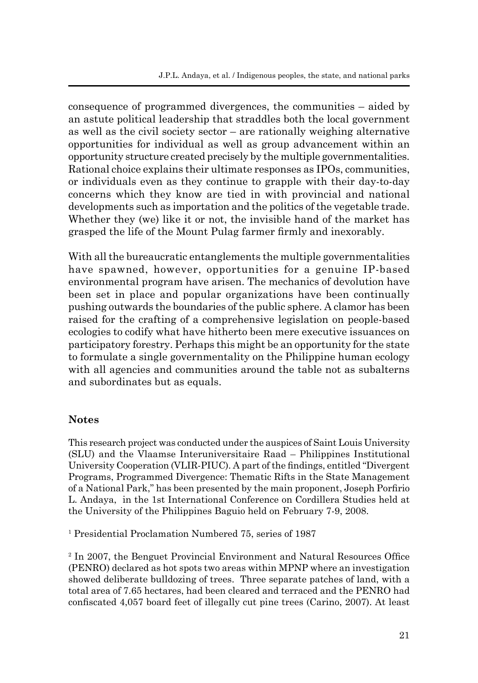consequence of programmed divergences, the communities – aided by an astute political leadership that straddles both the local government as well as the civil society sector – are rationally weighing alternative opportunities for individual as well as group advancement within an opportunity structure created precisely by the multiple governmentalities. Rational choice explains their ultimate responses as IPOs, communities, or individuals even as they continue to grapple with their day-to-day concerns which they know are tied in with provincial and national developments such as importation and the politics of the vegetable trade. Whether they (we) like it or not, the invisible hand of the market has grasped the life of the Mount Pulag farmer firmly and inexorably.

With all the bureaucratic entanglements the multiple governmentalities have spawned, however, opportunities for a genuine IP-based environmental program have arisen. The mechanics of devolution have been set in place and popular organizations have been continually pushing outwards the boundaries of the public sphere. A clamor has been raised for the crafting of a comprehensive legislation on people-based ecologies to codify what have hitherto been mere executive issuances on participatory forestry. Perhaps this might be an opportunity for the state to formulate a single governmentality on the Philippine human ecology with all agencies and communities around the table not as subalterns and subordinates but as equals.

#### **Notes**

This research project was conducted under the auspices of Saint Louis University (SLU) and the Vlaamse Interuniversitaire Raad – Philippines Institutional University Cooperation (VLIR-PIUC). A part of the findings, entitled "Divergent Programs, Programmed Divergence: Thematic Rifts in the State Management of a National Park," has been presented by the main proponent, Joseph Porfirio L. Andaya, in the 1st International Conference on Cordillera Studies held at the University of the Philippines Baguio held on February 7-9, 2008.

1 Presidential Proclamation Numbered 75, series of 1987

<sup>2</sup> In 2007, the Benguet Provincial Environment and Natural Resources Office (PENRO) declared as hot spots two areas within MPNP where an investigation showed deliberate bulldozing of trees. Three separate patches of land, with a total area of 7.65 hectares, had been cleared and terraced and the PENRO had confiscated 4,057 board feet of illegally cut pine trees (Carino, 2007). At least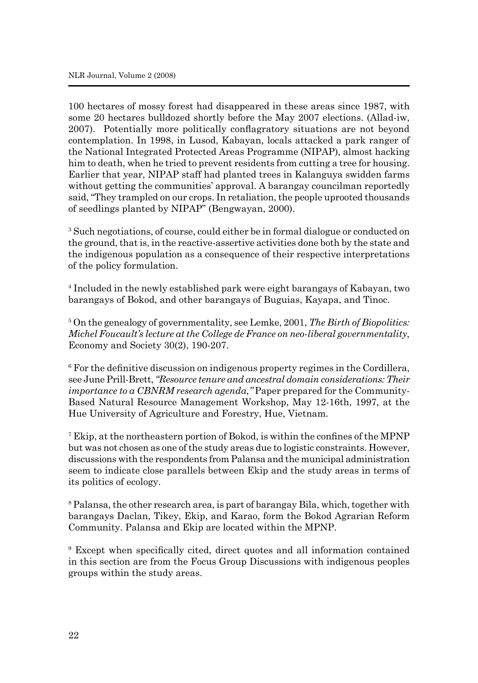100 hectares of mossy forest had disappeared in these areas since 1987, with some 20 hectares bulldozed shortly before the May 2007 elections. (Allad-iw, 2007). Potentially more politically conflagratory situations are not beyond contemplation. In 1998, in Lusod, Kabayan, locals attacked a park ranger of the National Integrated Protected Areas Programme (NIPAP), almost hacking him to death, when he tried to prevent residents from cutting a tree for housing. Earlier that year, NIPAP staff had planted trees in Kalanguya swidden farms without getting the communities' approval. A barangay councilman reportedly said, "They trampled on our crops. In retaliation, the people uprooted thousands of seedlings planted by NIPAP" (Bengwayan, 2000).

<sup>3</sup> Such negotiations, of course, could either be in formal dialogue or conducted on the ground, that is, in the reactive-assertive activities done both by the state and the indigenous population as a consequence of their respective interpretations of the policy formulation.

4 Included in the newly established park were eight barangays of Kabayan, two barangays of Bokod, and other barangays of Buguias, Kayapa, and Tinoc.

5 On the genealogy of governmentality, see Lemke, 2001, *The Birth of Biopolitics: Michel Foucault's lecture at the College de France on neo-liberal governmentality*, Economy and Society 30(2), 190-207.

<sup>6</sup> For the definitive discussion on indigenous property regimes in the Cordillera, see June Prill-Brett, *"Resource tenure and ancestral domain considerations: Their importance to a CBNRM research agenda,"* Paper prepared for the Community-Based Natural Resource Management Workshop, May 12-16th, 1997, at the Hue University of Agriculture and Forestry, Hue, Vietnam.

<sup>7</sup> Ekip, at the northeastern portion of Bokod, is within the confines of the MPNP but was not chosen as one of the study areas due to logistic constraints. However, discussions with the respondents from Palansa and the municipal administration seem to indicate close parallels between Ekip and the study areas in terms of its politics of ecology.

8 Palansa, the other research area, is part of barangay Bila, which, together with barangays Daclan, Tikey, Ekip, and Karao, form the Bokod Agrarian Reform Community. Palansa and Ekip are located within the MPNP.

9 Except when specifically cited, direct quotes and all information contained in this section are from the Focus Group Discussions with indigenous peoples groups within the study areas.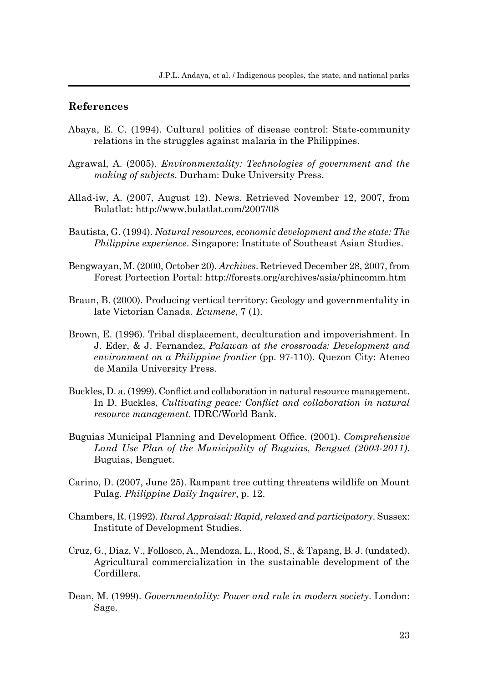#### **References**

- Abaya, E. C. (1994). Cultural politics of disease control: State-community relations in the struggles against malaria in the Philippines.
- Agrawal, A. (2005). *Environmentality: Technologies of government and the making of subjects*. Durham: Duke University Press.
- Allad-iw, A. (2007, August 12). News. Retrieved November 12, 2007, from Bulatlat: http://www.bulatlat.com/2007/08
- Bautista, G. (1994). *Natural resources, economic development and the state: The Philippine experience*. Singapore: Institute of Southeast Asian Studies.
- Bengwayan, M. (2000, October 20). *Archives*. Retrieved December 28, 2007, from Forest Portection Portal: http://forests.org/archives/asia/phincomm.htm
- Braun, B. (2000). Producing vertical territory: Geology and governmentality in late Victorian Canada. *Ecumene*, 7 (1).
- Brown, E. (1996). Tribal displacement, deculturation and impoverishment. In J. Eder, & J. Fernandez, *Palawan at the crossroads: Development and environment on a Philippine frontier* (pp. 97-110). Quezon City: Ateneo de Manila University Press.
- Buckles, D. a. (1999). Conflict and collaboration in natural resource management. In D. Buckles, *Cultivating peace: Conflict and collaboration in natural resource management*. IDRC/World Bank.
- Buguias Municipal Planning and Development Office. (2001). *Comprehensive Land Use Plan of the Municipality of Buguias, Benguet (2003-2011)*. Buguias, Benguet.
- Carino, D. (2007, June 25). Rampant tree cutting threatens wildlife on Mount Pulag. *Philippine Daily Inquirer*, p. 12.
- Chambers, R. (1992). *Rural Appraisal: Rapid, relaxed and participatory*. Sussex: Institute of Development Studies.
- Cruz, G., Diaz, V., Follosco, A., Mendoza, L., Rood, S., & Tapang, B. J. (undated). Agricultural commercialization in the sustainable development of the Cordillera.
- Dean, M. (1999). *Governmentality: Power and rule in modern society*. London: Sage.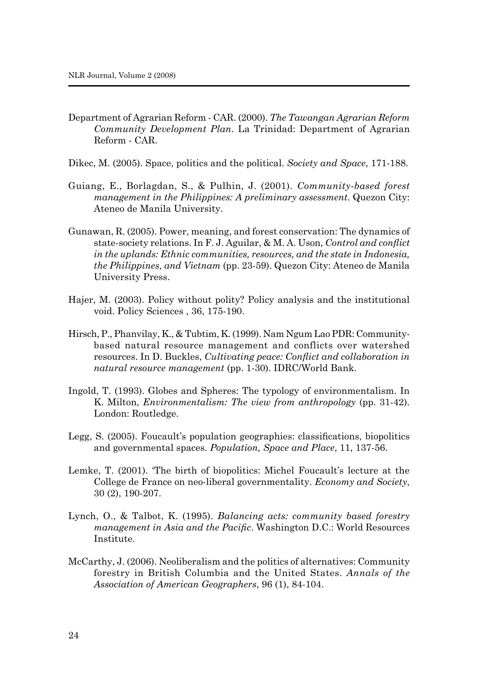- Department of Agrarian Reform CAR. (2000). *The Tawangan Agrarian Reform Community Development Plan*. La Trinidad: Department of Agrarian Reform - CAR.
- Dikec, M. (2005). Space, politics and the political. *Society and Space*, 171-188.
- Guiang, E., Borlagdan, S., & Pulhin, J. (2001). *Community-based forest management in the Philippines: A preliminary assessment*. Quezon City: Ateneo de Manila University.
- Gunawan, R. (2005). Power, meaning, and forest conservation: The dynamics of state-society relations. In F. J. Aguilar, & M. A. Uson, *Control and conflict in the uplands: Ethnic communities, resources, and the state in Indonesia, the Philippines, and Vietnam* (pp. 23-59). Quezon City: Ateneo de Manila University Press.
- Hajer, M. (2003). Policy without polity? Policy analysis and the institutional void. Policy Sciences , 36, 175-190.
- Hirsch, P., Phanvilay, K., & Tubtim, K. (1999). Nam Ngum Lao PDR: Communitybased natural resource management and conflicts over watershed resources. In D. Buckles, *Cultivating peace: Conflict and collaboration in natural resource management* (pp. 1-30). IDRC/World Bank.
- Ingold, T. (1993). Globes and Spheres: The typology of environmentalism. In K. Milton, *Environmentalism: The view from anthropology* (pp. 31-42). London: Routledge.
- Legg, S. (2005). Foucault's population geographies: classifications, biopolitics and governmental spaces. *Population, Space and Place*, 11, 137-56.
- Lemke, T. (2001). 'The birth of biopolitics: Michel Foucault's lecture at the College de France on neo-liberal governmentality. *Economy and Society*, 30 (2), 190-207.
- Lynch, O., & Talbot, K. (1995). *Balancing acts: community based forestry management in Asia and the Pacific*. Washington D.C.: World Resources Institute.
- McCarthy, J. (2006). Neoliberalism and the politics of alternatives: Community forestry in British Columbia and the United States. *Annals of the Association of American Geographers*, 96 (1), 84-104.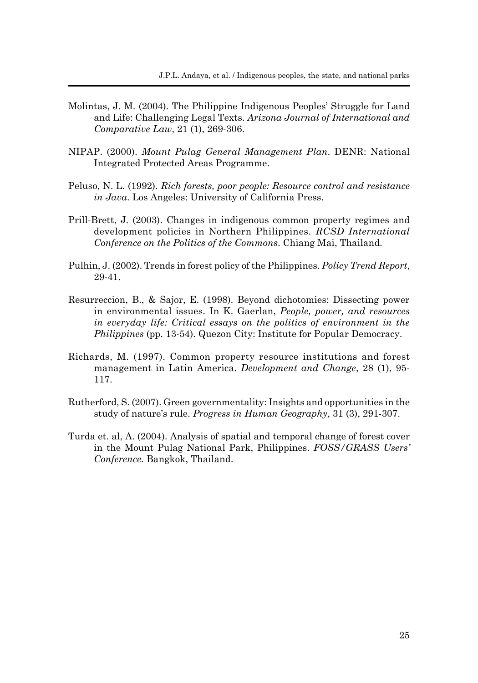- Molintas, J. M. (2004). The Philippine Indigenous Peoples' Struggle for Land and Life: Challenging Legal Texts. *Arizona Journal of International and Comparative Law*, 21 (1), 269-306.
- NIPAP. (2000). *Mount Pulag General Management Plan*. DENR: National Integrated Protected Areas Programme.
- Peluso, N. L. (1992). *Rich forests, poor people: Resource control and resistance in Java*. Los Angeles: University of California Press.
- Prill-Brett, J. (2003). Changes in indigenous common property regimes and development policies in Northern Philippines. *RCSD International Conference on the Politics of the Commons*. Chiang Mai, Thailand.
- Pulhin, J. (2002). Trends in forest policy of the Philippines. *Policy Trend Report*, 29-41.
- Resurreccion, B., & Sajor, E. (1998). Beyond dichotomies: Dissecting power in environmental issues. In K. Gaerlan, *People, power, and resources in everyday life: Critical essays on the politics of environment in the Philippines* (pp. 13-54). Quezon City: Institute for Popular Democracy.
- Richards, M. (1997). Common property resource institutions and forest management in Latin America. *Development and Change*, 28 (1), 95- 117.
- Rutherford, S. (2007). Green governmentality: Insights and opportunities in the study of nature's rule. *Progress in Human Geography*, 31 (3), 291-307.
- Turda et. al, A. (2004). Analysis of spatial and temporal change of forest cover in the Mount Pulag National Park, Philippines. *FOSS/GRASS Users' Conference.* Bangkok, Thailand.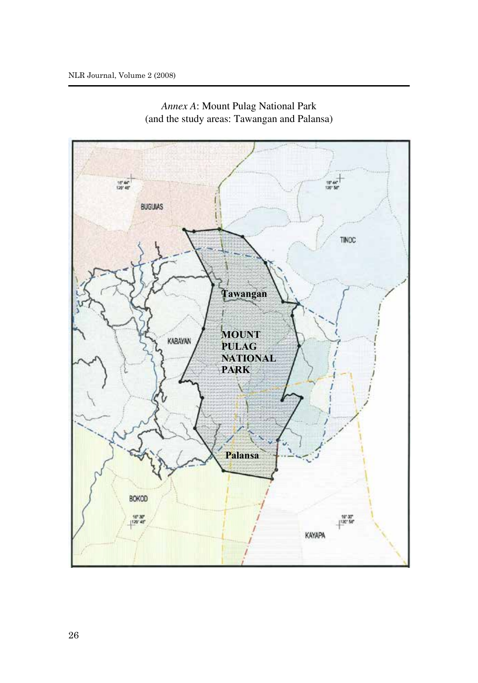

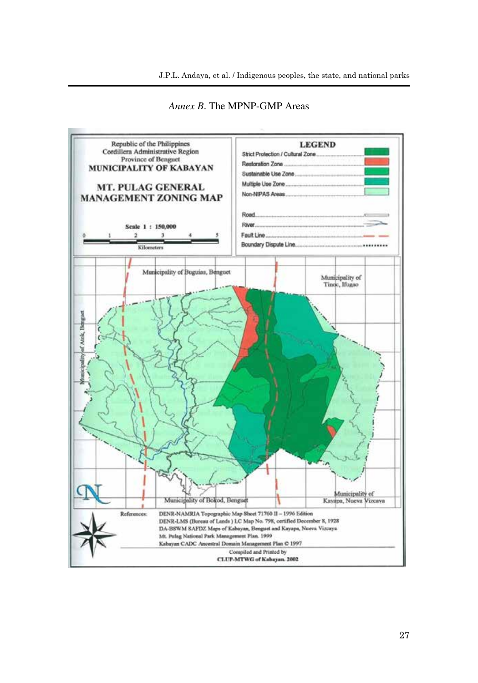J.P.L. Andaya, et al. / Indigenous peoples, the state, and national parks



*Annex B*. The MPNP-GMP Areas